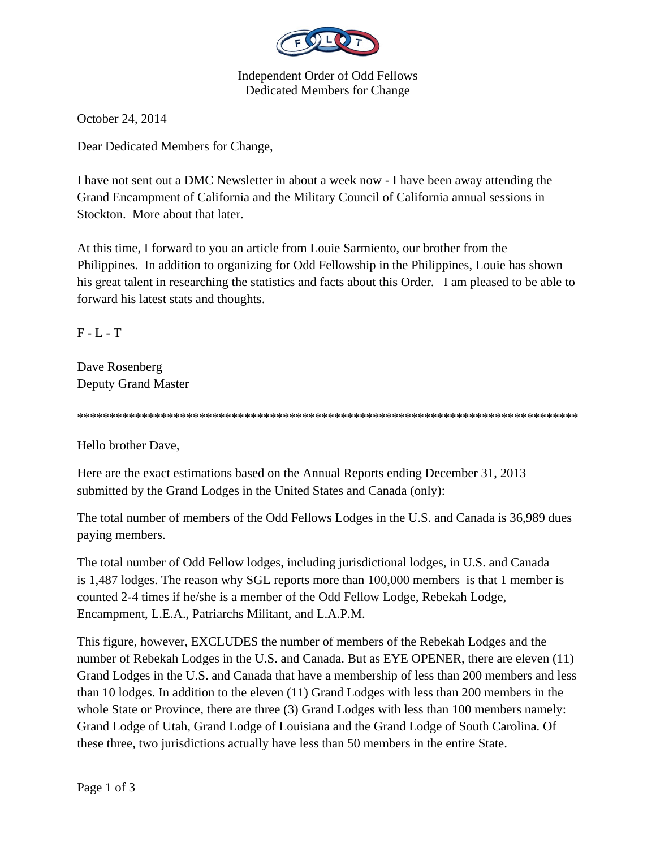

Independent Order of Odd Fellows Dedicated Members for Change

October 24, 2014

Dear Dedicated Members for Change,

I have not sent out a DMC Newsletter in about a week now - I have been away attending the Grand Encampment of California and the Military Council of California annual sessions in Stockton. More about that later.

At this time, I forward to you an article from Louie Sarmiento, our brother from the Philippines. In addition to organizing for Odd Fellowship in the Philippines, Louie has shown his great talent in researching the statistics and facts about this Order. I am pleased to be able to forward his latest stats and thoughts.

 $F - L - T$ 

Dave Rosenberg Deputy Grand Master

\*\*\*\*\*\*\*\*\*\*\*\*\*\*\*\*\*\*\*\*\*\*\*\*\*\*\*\*\*\*\*\*\*\*\*\*\*\*\*\*\*\*\*\*\*\*\*\*\*\*\*\*\*\*\*\*\*\*\*\*\*\*\*\*\*\*\*\*\*\*\*\*\*\*\*\*\*\*

Hello brother Dave,

Here are the exact estimations based on the Annual Reports ending December 31, 2013 submitted by the Grand Lodges in the United States and Canada (only):

The total number of members of the Odd Fellows Lodges in the U.S. and Canada is 36,989 dues paying members.

The total number of Odd Fellow lodges, including jurisdictional lodges, in U.S. and Canada is 1,487 lodges. The reason why SGL reports more than 100,000 members is that 1 member is counted 2-4 times if he/she is a member of the Odd Fellow Lodge, Rebekah Lodge, Encampment, L.E.A., Patriarchs Militant, and L.A.P.M.

This figure, however, EXCLUDES the number of members of the Rebekah Lodges and the number of Rebekah Lodges in the U.S. and Canada. But as EYE OPENER, there are eleven (11) Grand Lodges in the U.S. and Canada that have a membership of less than 200 members and less than 10 lodges. In addition to the eleven (11) Grand Lodges with less than 200 members in the whole State or Province, there are three (3) Grand Lodges with less than 100 members namely: Grand Lodge of Utah, Grand Lodge of Louisiana and the Grand Lodge of South Carolina. Of these three, two jurisdictions actually have less than 50 members in the entire State.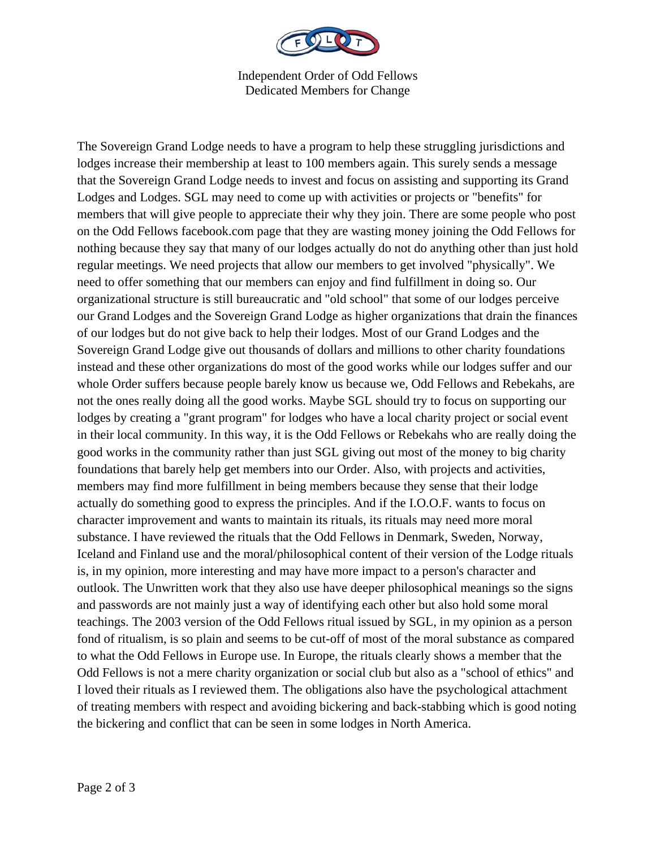

Independent Order of Odd Fellows Dedicated Members for Change

The Sovereign Grand Lodge needs to have a program to help these struggling jurisdictions and lodges increase their membership at least to 100 members again. This surely sends a message that the Sovereign Grand Lodge needs to invest and focus on assisting and supporting its Grand Lodges and Lodges. SGL may need to come up with activities or projects or "benefits" for members that will give people to appreciate their why they join. There are some people who post on the Odd Fellows facebook.com page that they are wasting money joining the Odd Fellows for nothing because they say that many of our lodges actually do not do anything other than just hold regular meetings. We need projects that allow our members to get involved "physically". We need to offer something that our members can enjoy and find fulfillment in doing so. Our organizational structure is still bureaucratic and "old school" that some of our lodges perceive our Grand Lodges and the Sovereign Grand Lodge as higher organizations that drain the finances of our lodges but do not give back to help their lodges. Most of our Grand Lodges and the Sovereign Grand Lodge give out thousands of dollars and millions to other charity foundations instead and these other organizations do most of the good works while our lodges suffer and our whole Order suffers because people barely know us because we, Odd Fellows and Rebekahs, are not the ones really doing all the good works. Maybe SGL should try to focus on supporting our lodges by creating a "grant program" for lodges who have a local charity project or social event in their local community. In this way, it is the Odd Fellows or Rebekahs who are really doing the good works in the community rather than just SGL giving out most of the money to big charity foundations that barely help get members into our Order. Also, with projects and activities, members may find more fulfillment in being members because they sense that their lodge actually do something good to express the principles. And if the I.O.O.F. wants to focus on character improvement and wants to maintain its rituals, its rituals may need more moral substance. I have reviewed the rituals that the Odd Fellows in Denmark, Sweden, Norway, Iceland and Finland use and the moral/philosophical content of their version of the Lodge rituals is, in my opinion, more interesting and may have more impact to a person's character and outlook. The Unwritten work that they also use have deeper philosophical meanings so the signs and passwords are not mainly just a way of identifying each other but also hold some moral teachings. The 2003 version of the Odd Fellows ritual issued by SGL, in my opinion as a person fond of ritualism, is so plain and seems to be cut-off of most of the moral substance as compared to what the Odd Fellows in Europe use. In Europe, the rituals clearly shows a member that the Odd Fellows is not a mere charity organization or social club but also as a "school of ethics" and I loved their rituals as I reviewed them. The obligations also have the psychological attachment of treating members with respect and avoiding bickering and back-stabbing which is good noting the bickering and conflict that can be seen in some lodges in North America.